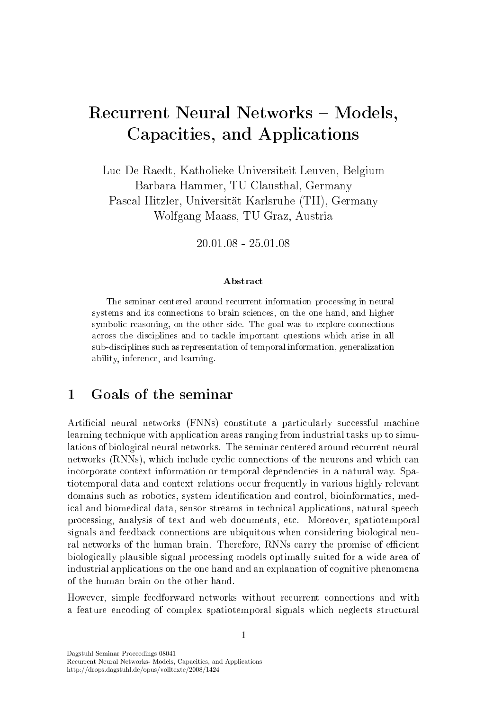# Recurrent Neural Networks – Models, Capacities, and Applications

Lu De Raedt, Katholieke Universiteit Leuven, Belgium Barbara Hammer, TU Clausthal, Germany Pas
al Hitzler, Universität Karlsruhe (TH), Germany Wolfgang Maass, TU Graz, Austria

20.01.08 - 25.01.08

### **Abstract**

The seminar entered around re
urrent information pro
essing in neural systems and its onne
tions to brain s
ien
es, on the one hand, and higher symboli reasoning, on the other side. The goal was to explore onne
tions a
ross the dis
iplines and to ta
kle important questions whi
h arise in all sub-dis
iplines su
h as representation of temporal information, generalization ability, inferen
e, and learning.

#### $\mathbf{1}$ Goals of the seminar

Artificial neural networks (FNNs) constitute a particularly successful machine learning te
hnique with appli
ation areas ranging from industrial tasks up to simulations of biological neural networks. The seminar centered around recurrent neural networks (RNNs), which include cyclic connections of the neurons and which can in
orporate ontext information or temporal dependen
ies in a natural way. Spatiotemporal data and context relations occur frequently in various highly relevant domains such as robotics, system identification and control, bioinformatics, medical and biomedical data, sensor streams in technical applications, natural speech pro
essing, analysis of text and web do
uments, et
. Moreover, spatiotemporal signals and feedback connections are ubiquitous when considering biological neural networks of the human brain. Therefore, RNNs carry the promise of efficient biologi
ally plausible signal pro
essing models optimally suited for a wide area of industrial applications on the one hand and an explanation of cognitive phenomena of the human brain on the other hand.

However, simple feedforward networks without recurrent connections and with a feature encoding of complex spatiotemporal signals which neglects structural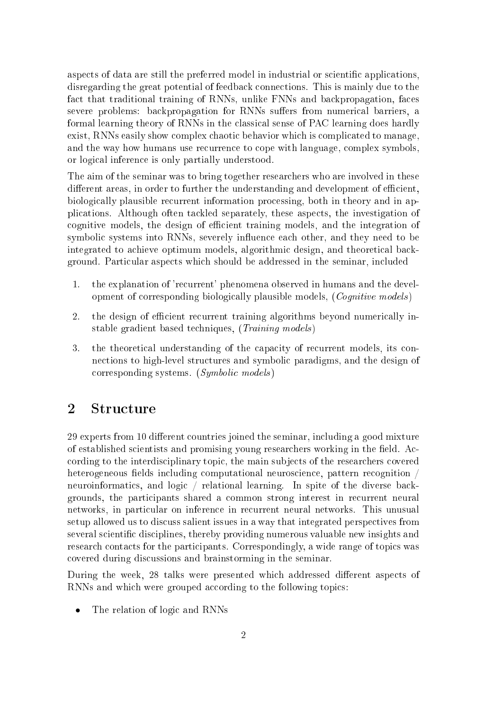aspects of data are still the preferred model in industrial or scientific applications. disregarding the great potential of feedba
k onne
tions. This is mainly due to the fact that traditional training of RNNs, unlike FNNs and backpropagation, faces severe problems: backpropagation for RNNs suffers from numerical barriers, a formal learning theory of RNNs in the classical sense of PAC learning does hardly exist, RNNs easily show complex chaotic behavior which is complicated to manage, and the way how humans use re
urren
e to ope with language, omplex symbols, or logi
al inferen
e is only partially understood.

The aim of the seminar was to bring together resear
hers who are involved in these different areas, in order to further the understanding and development of efficient, biologi
ally plausible re
urrent information pro
essing, both in theory and in applications. Although often tackled separately, these aspects, the investigation of cognitive models, the design of efficient training models, and the integration of symbolic systems into RNNs, severely influence each other, and they need to be integrated to achieve optimum models, algorithmic design, and theoretical background. Parti
ular aspe
ts whi
h should be addressed in the seminar, in
luded

- 1. the explanation of 'recurrent' phenomena observed in humans and the development of corresponding biologically plausible models, (Cognitive models)
- 2. the design of efficient recurrent training algorithms beyond numerically instable gradient based techniques, (*Training models*)
- $\mathbf{3}$ . the theoretical understanding of the capacity of recurrent models, its connections to high-level structures and symbolic paradigms, and the design of orresponding systems. (Symboli models )

### 2 Structure

29 experts from 10 different countries joined the seminar, including a good mixture of established scientists and promising young researchers working in the field. According to the interdisciplinary topic, the main subjects of the researchers covered heterogeneous fields including computational neuroscience, pattern recognition / neuroinformatics, and logic / relational learning. In spite of the diverse backgrounds, the parti
ipants shared a ommon strong interest in re
urrent neural networks, in particular on inference in recurrent neural networks. This unusual setup allowed us to discuss salient issues in a way that integrated perspectives from several scientific disciplines, thereby providing numerous valuable new insights and research contacts for the participants. Correspondingly, a wide range of topics was overed during dis
ussions and brainstorming in the seminar.

During the week, 28 talks were presented which addressed different aspects of RNNs and which were grouped according to the following topics:

The relation of logic and RNNs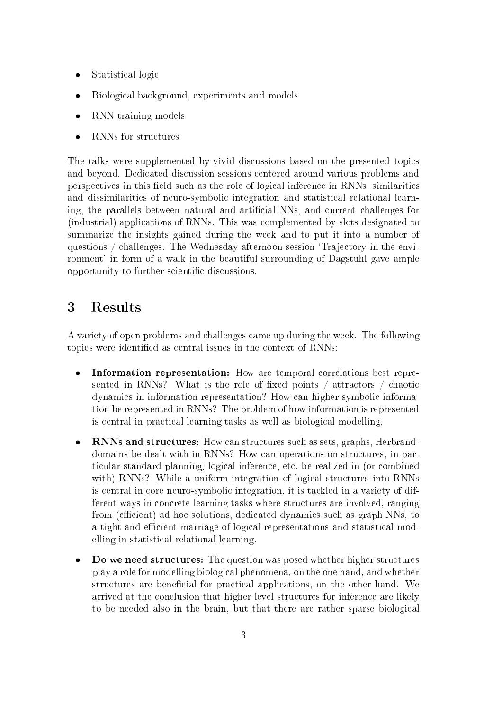- Statistical logic
- Biologi
al ba
kground, experiments and models
- RNN training models
- RNNs for structures

The talks were supplemented by vivid discussions based on the presented topics and beyond. Dedi
ated dis
ussion sessions entered around various problems and perspectives in this field such as the role of logical inference in RNNs, similarities and dissimilarities of neuro-symboli integration and statisti
al relational learning, the parallels between natural and artificial NNs, and current challenges for (industrial) applications of RNNs. This was complemented by slots designated to summarize the insights gained during the week and to put it into a number of questions / challenges. The Wednesday afternoon session 'Trajectory in the environment' in form of a walk in the beautiful surrounding of Dagstuhl gave ample opportunity to further scientific discussions.

## <sup>3</sup> Results

A variety of open problems and hallenges ame up during the week. The following topics were identified as central issues in the context of RNNs:

- Information representation: How are temporal orrelations best represented in RNNs? What is the role of fixed points  $\frac{1}{1}$  attractors  $\frac{1}{1}$  chaotic dynami
s in information representation? How an higher symboli information be represented in RNNs? The problem of how information is represented is central in practical learning tasks as well as biological modelling.
- RNNs and structures: How can structures such as sets, graphs, Herbranddomains be dealt with in RNNs? How can operations on structures, in particular standard planning, logical inference, etc. be realized in (or combined with) RNNs? While a uniform integration of logical structures into RNNs is entral in ore neuro-symboli integration, it is ta
kled in a variety of different ways in on
rete learning tasks where stru
tures are involved, ranging from (efficient) ad hoc solutions, dedicated dynamics such as graph NNs, to a tight and efficient marriage of logical representations and statistical modelling in statisti
al relational learning.
- Do we need structures: The question was posed whether higher structures play a role for modelling biologi
al phenomena, on the one hand, and whether structures are beneficial for practical applications, on the other hand. We arrived at the on
lusion that higher level stru
tures for inferen
e are likely to be needed also in the brain, but that there are rather sparse biological